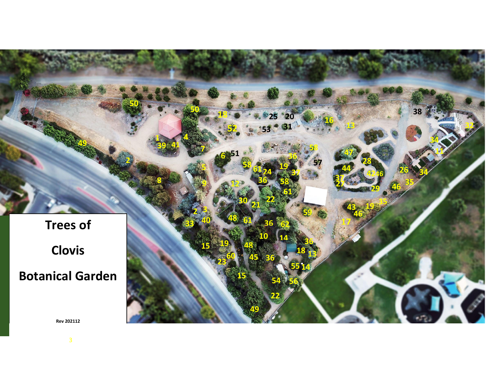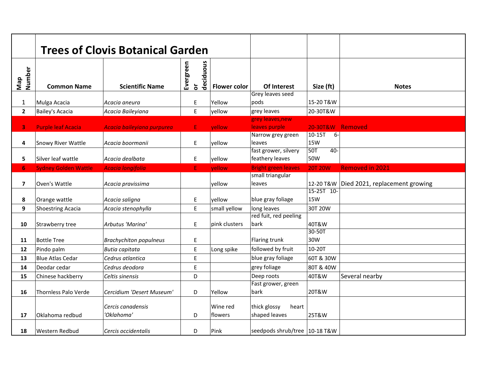|                |                                        | <b>Trees of Clovis Botanical Garden</b> |                                                        |                     |                                                     |                                          |                                |
|----------------|----------------------------------------|-----------------------------------------|--------------------------------------------------------|---------------------|-----------------------------------------------------|------------------------------------------|--------------------------------|
| Number<br>Nap  | <b>Common Name</b>                     | <b>Scientific Name</b>                  | deciduous<br>Evergreen<br>$\overleftarrow{\mathbf{o}}$ | <b>Flower color</b> | Of Interest                                         | Size (ft)                                | <b>Notes</b>                   |
| $\mathbf{1}$   |                                        | Acacia aneura                           | Ε                                                      | Yellow              | Grey leaves seed<br>pods                            | 15-20 T&W                                |                                |
| $\overline{2}$ | Mulga Acacia<br><b>Bailey's Acacia</b> | Acacia Baileyiana                       | E                                                      | yellow              | grey leaves                                         | 20-30T&W                                 |                                |
|                |                                        |                                         |                                                        |                     | grey leaves, new                                    |                                          |                                |
| 3              | <b>Purple leaf Acacia</b>              | Acacia baileyiana purpurea              | E                                                      | yellow              | leaves purple                                       | 20-30T&W Removed                         |                                |
| 4              | Snowy River Wattle                     | Acacia boormanii                        | E                                                      | yellow              | Narrow grey green<br>leaves<br>fast grower, silvery | $6-$<br>$10-15T$<br>15W<br>50T<br>$40 -$ |                                |
| 5              | Silver leaf wattle                     | Acacia dealbata                         | E                                                      | yellow              | feathery leaves                                     | 50W                                      |                                |
| 6 <sup>1</sup> | <b>Sydney Golden Wattle</b>            | <b>Acacia longifolia</b>                | E                                                      | vellow              | <b>Bright green leaves</b>                          | <b>20T 20W</b>                           | <b>Removed in 2021</b>         |
| 7              | Oven's Wattle                          | Acacia pravissima                       |                                                        | vellow              | small triangular<br>leaves                          | 12-20 T&W<br>15-25T 10-                  | Died 2021, replacement growing |
| 8              | Orange wattle                          | Acacia saligna                          | E                                                      | yellow              | blue gray foliage                                   | <b>15W</b>                               |                                |
| 9              | <b>Shoestring Acacia</b>               | Acacia stenophylla                      | E                                                      | small yellow        | long leaves                                         | 30T 20W                                  |                                |
| 10             | Strawberry tree                        | Arbutus 'Marina'                        | E                                                      | pink clusters       | red fuit, red peeling<br>bark                       | 40T&W                                    |                                |
| 11             | <b>Bottle Tree</b>                     | <b>Brachychiton populneus</b>           | E                                                      |                     | Flaring trunk                                       | 30-50T<br>30W                            |                                |
| 12             | Pindo palm                             | Butia capitata                          | E                                                      | Long spike          | followed by fruit                                   | 10-20T                                   |                                |
| 13             | <b>Blue Atlas Cedar</b>                | Cedrus atlantica                        | E                                                      |                     | blue gray foliage                                   | 60T & 30W                                |                                |
| 14             | Deodar cedar                           | Cedrus deodora                          | E                                                      |                     | grey foliage                                        | 80T & 40W                                |                                |
| 15             | Chinese hackberry                      | Celtis sinensis                         | D                                                      |                     | Deep roots                                          | 40T&W                                    | Several nearby                 |
| 16             | <b>Thornless Palo Verde</b>            | Cercidium 'Desert Museum'               | D                                                      | Yellow              | Fast grower, green<br>bark                          | 20T&W                                    |                                |
| 17             | Oklahoma redbud                        | Cercis canadensis<br>'Oklahoma'         | D                                                      | Wine red<br>flowers | thick glossy<br>heart<br>shaped leaves              | 25T&W                                    |                                |
| 18             | <b>Western Redbud</b>                  | Cercis occidentalis                     | D                                                      | Pink                | seedpods shrub/tree 10-18 T&W                       |                                          |                                |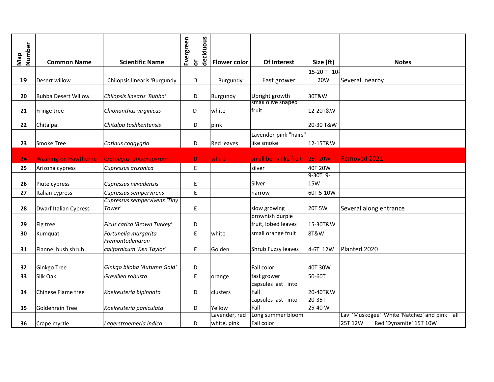| Number<br>Nap | <b>Common Name</b>          | <b>Scientific Name</b>                       | Evergreen | deciduous<br>$\overleftarrow{\mathbf{o}}$ | <b>Flower color</b>          | Of Interest                            | Size (ft)         | <b>Notes</b>                                                                     |
|---------------|-----------------------------|----------------------------------------------|-----------|-------------------------------------------|------------------------------|----------------------------------------|-------------------|----------------------------------------------------------------------------------|
|               |                             |                                              |           |                                           |                              |                                        | 15-20 T 10-       |                                                                                  |
| 19            | Desert willow               | Chilopsis linearis 'Burgundy                 |           | D                                         | Burgundy                     | Fast grower                            | 20W               | Several nearby                                                                   |
| 20            | <b>Bubba Desert Willow</b>  | Chilopsis linearis 'Bubba'                   |           | D                                         | Burgundy                     | Upright growth<br>small olive shaped   | 30T&W             |                                                                                  |
| 21            | Fringe tree                 | Chionanthus virginicus                       |           | D                                         | white                        | fruit                                  | 12-20T&W          |                                                                                  |
| 22            | Chitalpa                    | Chitalpa tashkentensis                       |           | D                                         | pink                         |                                        | 20-30 T&W         |                                                                                  |
| 23            | Smoke Tree                  | Cotinus coggygria                            |           | D                                         | Red leaves                   | Lavender-pink "hairs"<br>like smoke    | 12-15T&W          |                                                                                  |
| 24            | <b>Washington Hawthorne</b> | Crataegus phaenopyrum                        |           | D.                                        | white                        | small berry like fruit                 | <b>25T 20W</b>    | <b>Removed 2021</b>                                                              |
| 25            | Arizona cypress             | Cupressus arizonica                          |           | $\mathsf E$                               |                              | silver                                 | 40T 20W           |                                                                                  |
|               |                             |                                              |           |                                           |                              |                                        | $9-30T$ $9-$      |                                                                                  |
| 26            | Piute cypress               | Cupressus nevadensis                         |           | E                                         |                              | Silver                                 | <b>15W</b>        |                                                                                  |
| 27            | Italian cypress             | Cupressus sempervirens                       |           | E                                         |                              | narrow                                 | 60T 5-10W         |                                                                                  |
| 28            | Dwarf Italian Cypress       | Cupressus sempervivens 'Tiny<br>Tower'       |           | E                                         |                              | slow growing                           | 20T 5W            | Several along entrance                                                           |
| 29            | Fig tree                    | Ficus carica 'Brown Turkey'                  |           | D                                         |                              | brownish purple<br>fruit, lobed leaves | 15-30T&W          |                                                                                  |
| 30            | Kumquat                     | Fortunella margarita                         |           | E                                         | white                        | small orange fruit                     | 8T&W              |                                                                                  |
| 31            | Flannel bush shrub          | Fremontodendron<br>californicum 'Ken Taylor' |           | E                                         | Golden                       | Shrub Fuzzy leaves                     | 4-6T 12W          | Planted 2020                                                                     |
| 32            | Ginkgo Tree                 | Ginkgo biloba 'Autumn Gold'                  |           | D                                         |                              | Fall color                             | 40T 30W           |                                                                                  |
| 33            | Silk Oak                    | Grevillea robusta                            |           | E                                         | orange                       | fast grower                            | 50-60T            |                                                                                  |
| 34            | Chinese Flame tree          | Koelreuteria bipinnata                       |           | D                                         | clusters                     | capsules last into<br>Fall             | 20-40T&W          |                                                                                  |
| 35            | Goldenrain Tree             | Koelreuteria paniculata                      |           | D                                         | Yellow                       | capsules last into<br>Fall             | 20-35T<br>25-40 W |                                                                                  |
| 36            | Crape myrtle                | Lagerstroemeria indica                       |           | D                                         | Lavender, red<br>white, pink | Long summer bloom<br>Fall color        |                   | Lav 'Muskogee' White 'Natchez' and pink all<br>25T 12W<br>Red 'Dynamite' 15T 10W |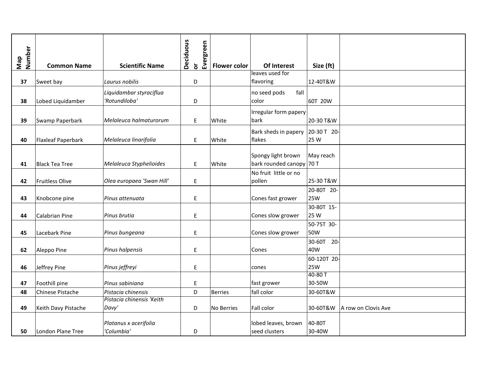|               |                       |                           | <b>Deciduous</b> | Evergreen                    |                     |                          |                                 |
|---------------|-----------------------|---------------------------|------------------|------------------------------|---------------------|--------------------------|---------------------------------|
| Map<br>Number |                       |                           |                  |                              |                     |                          |                                 |
|               | <b>Common Name</b>    | <b>Scientific Name</b>    |                  | $\overleftarrow{\mathbf{o}}$ | <b>Flower color</b> | Of Interest              | Size (ft)                       |
|               |                       |                           |                  |                              |                     | leaves used for          |                                 |
| 37            | Sweet bay             | Laurus nobilis            |                  | D                            |                     | flavoring                | 12-40T&W                        |
|               |                       | Liquidambar styraciflua   |                  |                              |                     | no seed pods<br>fall     |                                 |
| 38            | Lobed Liquidamber     | 'Rotundiloba'             |                  | D                            |                     | color                    | 60T 20W                         |
|               |                       |                           |                  |                              |                     | Irregular form papery    |                                 |
| 39            | Swamp Paperbark       | Melaleuca halmaturorum    |                  | $\mathsf E$                  | White               | bark                     | 20-30 T&W                       |
|               |                       |                           |                  |                              |                     |                          |                                 |
|               |                       |                           |                  |                              |                     | Bark sheds in papery     | 20-30 T 20-                     |
| 40            | Flaxleaf Paperbark    | Melaleuca linarifolia     |                  | $\mathsf E$                  | White               | flakes                   | 25 W                            |
|               |                       |                           |                  |                              |                     |                          |                                 |
|               |                       |                           |                  |                              |                     | Spongy light brown       | May reach                       |
| 41            | <b>Black Tea Tree</b> | Melaleuca Styphelioides   |                  | E                            | White               | bark rounded canopy 70 T |                                 |
|               |                       |                           |                  |                              |                     | No fruit little or no    |                                 |
| 42            | Fruitless Olive       | Olea europaea 'Swan Hill' |                  | E                            |                     | pollen                   | 25-30 T&W                       |
|               |                       |                           |                  |                              |                     |                          | 20-80T 20-                      |
| 43            | Knobcone pine         | Pinus attenuata           |                  | E                            |                     | Cones fast grower        | <b>25W</b>                      |
|               |                       |                           |                  |                              |                     |                          | 30-80T 15-                      |
| 44            | Calabrian Pine        | Pinus brutia              |                  | E                            |                     | Cones slow grower        | 25 W                            |
|               |                       |                           |                  |                              |                     |                          | 50-75T 30-                      |
| 45            | Lacebark Pine         | Pinus bungeana            |                  | E                            |                     | Cones slow grower        | 50W                             |
|               |                       |                           |                  |                              |                     |                          | 30-60T 20-                      |
| 62            | Aleppo Pine           | Pinus halpensis           |                  | E                            |                     | Cones                    | 40W                             |
|               |                       |                           |                  |                              |                     |                          | 60-120T 20-                     |
| 46            | Jeffrey Pine          | Pinus jeffreyi            |                  | E                            |                     | cones                    | <b>25W</b>                      |
|               |                       |                           |                  |                              |                     |                          | 40-80 T                         |
| 47            | Foothill pine         | Pinus sabiniana           |                  | E                            |                     | fast grower              | 30-50W                          |
| 48            | Chinese Pistache      | Pistacia chinensis        |                  | D                            | <b>Berries</b>      | fall color               | 30-60T&W                        |
|               |                       | Pistacia chinensis 'Keith |                  |                              |                     |                          |                                 |
| 49            | Keith Davy Pistache   | Davy'                     |                  | D                            | No Berries          | Fall color               | 30-60T&W<br>A row on Clovis Ave |
|               |                       |                           |                  |                              |                     |                          |                                 |
|               |                       | Platanus x acerifolia     |                  |                              |                     | lobed leaves, brown      | 40-80T                          |
| 50            | London Plane Tree     | 'Columbia'                |                  | D                            |                     | seed clusters            | 30-40W                          |